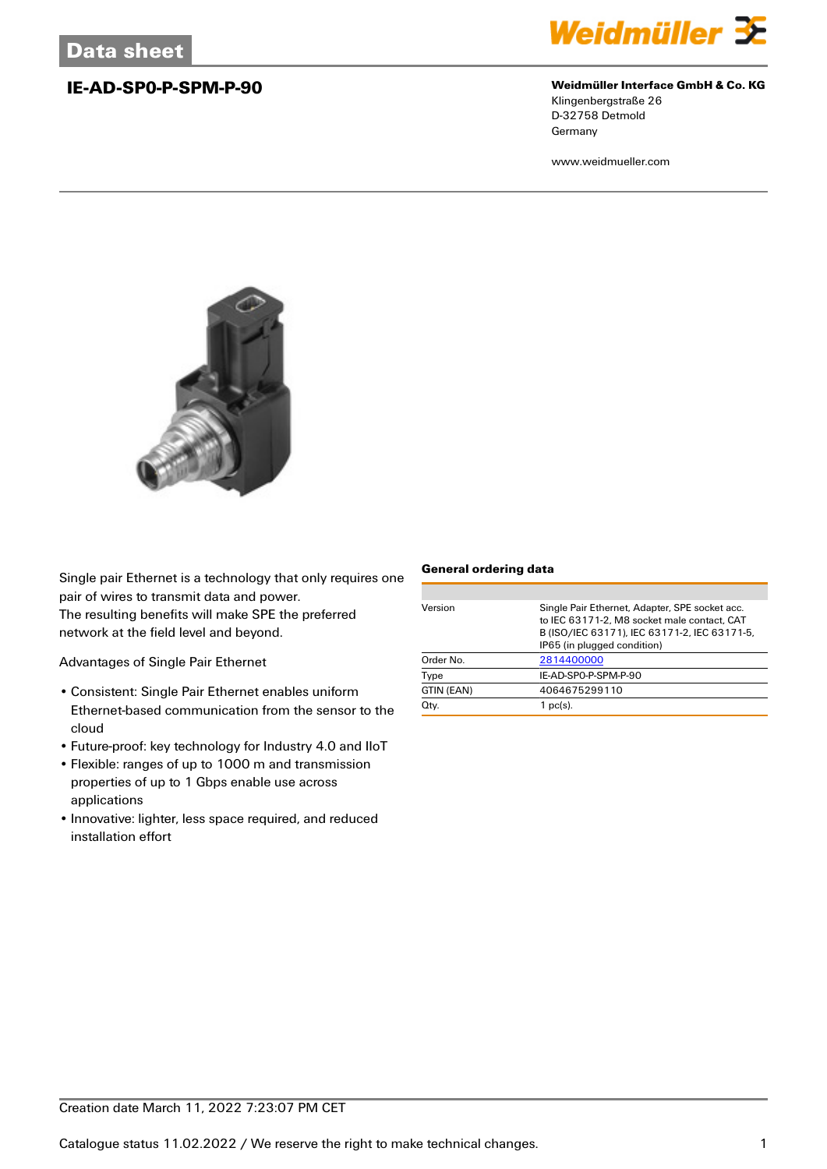

## **IE-AD-SP0-P-SPM-P-90 Weidmüller Interface GmbH & Co. KG**

Klingenbergstraße 26 D-32758 Detmold Germany

www.weidmueller.com



Single pair Ethernet is a technology that only requires one pair of wires to transmit data and power.

The resulting benefits will make SPE the preferred network at the field level and beyond.

Advantages of Single Pair Ethernet

- Consistent: Single Pair Ethernet enables uniform Ethernet-based communication from the sensor to the cloud
- Future-proof: key technology for Industry 4.0 and IIoT
- Flexible: ranges of up to 1000 m and transmission properties of up to 1 Gbps enable use across applications
- Innovative: lighter, less space required, and reduced installation effort

### **General ordering data**

| Order No.  | IP65 (in plugged condition)<br>2814400000 |
|------------|-------------------------------------------|
| Type       | IE-AD-SPO-P-SPM-P-90                      |
| GTIN (EAN) | 4064675299110                             |
| Qty.       | $1$ pc(s).                                |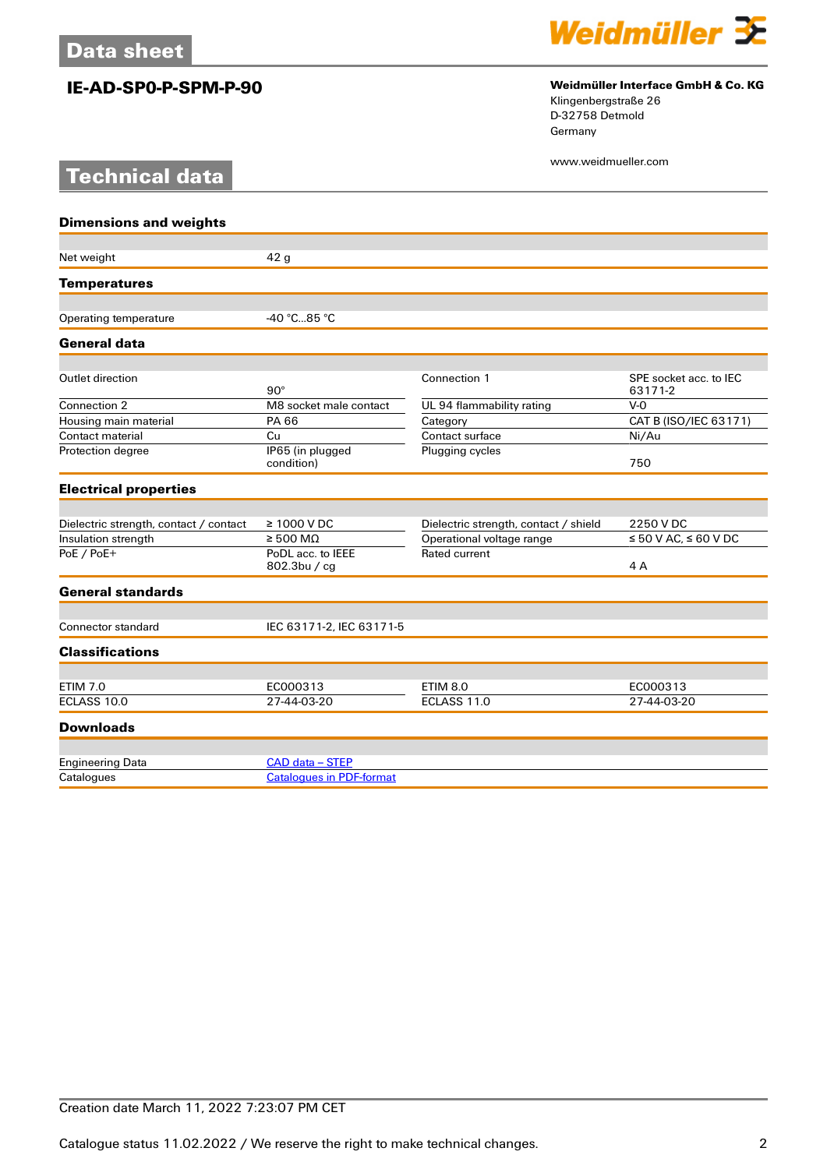# **Technical data**



## **IE-AD-SP0-P-SPM-P-90 Weidmüller Interface GmbH & Co. KG**

Klingenbergstraße 26 D-32758 Detmold Germany

www.weidmueller.com

| <b>Dimensions and weights</b>          |                                   |                                       |                        |
|----------------------------------------|-----------------------------------|---------------------------------------|------------------------|
|                                        |                                   |                                       |                        |
| Net weight                             | 42 <sub>g</sub>                   |                                       |                        |
| <b>Temperatures</b>                    |                                   |                                       |                        |
|                                        | $-40 °C85 °C$                     |                                       |                        |
| Operating temperature                  |                                   |                                       |                        |
| General data                           |                                   |                                       |                        |
| Outlet direction                       |                                   | Connection 1                          | SPE socket acc. to IEC |
|                                        | $90^\circ$                        |                                       | 63171-2                |
| Connection 2                           | M8 socket male contact            | UL 94 flammability rating             | $V-0$                  |
| Housing main material                  | PA 66                             | Category                              | CAT B (ISO/IEC 63171)  |
| Contact material                       | Cu                                | Contact surface                       | Ni/Au                  |
| Protection degree                      | IP65 (in plugged<br>condition)    | Plugging cycles                       | 750                    |
| <b>Electrical properties</b>           |                                   |                                       |                        |
|                                        |                                   |                                       |                        |
| Dielectric strength, contact / contact | $\geq 1000$ V DC                  | Dielectric strength, contact / shield | 2250 V DC              |
| Insulation strength                    | $\geq 500 \text{ M}\Omega$        | Operational voltage range             | ≤ 50 V AC, ≤ 60 V DC   |
| PoE / PoE+                             | PoDL acc. to IEEE<br>802.3bu / cq | Rated current                         | 4A                     |
| <b>General standards</b>               |                                   |                                       |                        |
|                                        |                                   |                                       |                        |
| Connector standard                     | IEC 63171-2, IEC 63171-5          |                                       |                        |
| <b>Classifications</b>                 |                                   |                                       |                        |
| <b>ETIM 7.0</b>                        | EC000313                          | <b>ETIM 8.0</b>                       | EC000313               |
| ECLASS 10.0                            | 27-44-03-20                       | ECLASS 11.0                           | 27-44-03-20            |
| <b>Downloads</b>                       |                                   |                                       |                        |
|                                        |                                   |                                       |                        |
| <b>Engineering Data</b>                | CAD data - STEP                   |                                       |                        |
| Catalogues                             | <b>Catalogues in PDF-format</b>   |                                       |                        |